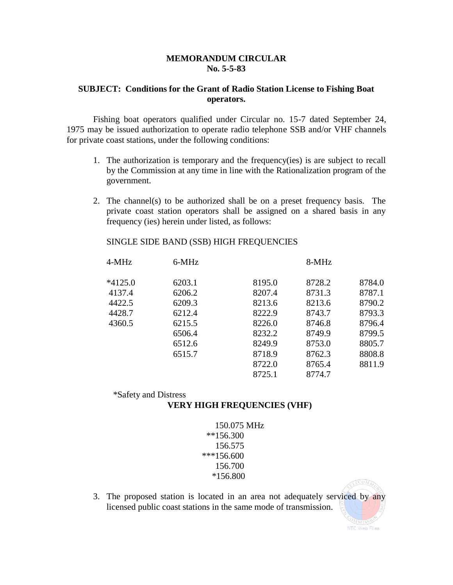## **MEMORANDUM CIRCULAR No. 5-5-83**

## **SUBJECT: Conditions for the Grant of Radio Station License to Fishing Boat operators.**

Fishing boat operators qualified under Circular no. 15-7 dated September 24, 1975 may be issued authorization to operate radio telephone SSB and/or VHF channels for private coast stations, under the following conditions:

- 1. The authorization is temporary and the frequency(ies) is are subject to recall by the Commission at any time in line with the Rationalization program of the government.
- 2. The channel(s) to be authorized shall be on a preset frequency basis. The private coast station operators shall be assigned on a shared basis in any frequency (ies) herein under listed, as follows:

## SINGLE SIDE BAND (SSB) HIGH FREQUENCIES

| 4-MHz     | 6-MHz  |        | 8-MHz  |        |
|-----------|--------|--------|--------|--------|
| $*4125.0$ | 6203.1 | 8195.0 | 8728.2 | 8784.0 |
| 4137.4    | 6206.2 | 8207.4 | 8731.3 | 8787.1 |
| 4422.5    | 6209.3 | 8213.6 | 8213.6 | 8790.2 |
| 4428.7    | 6212.4 | 8222.9 | 8743.7 | 8793.3 |
| 4360.5    | 6215.5 | 8226.0 | 8746.8 | 8796.4 |
|           | 6506.4 | 8232.2 | 8749.9 | 8799.5 |
|           | 6512.6 | 8249.9 | 8753.0 | 8805.7 |
|           | 6515.7 | 8718.9 | 8762.3 | 8808.8 |
|           |        | 8722.0 | 8765.4 | 8811.9 |
|           |        | 8725.1 | 8774.7 |        |

\*Safety and Distress

## **VERY HIGH FREQUENCIES (VHF)**

- 150.075 MHz \*\*156.300 156.575 \*\*\*156.600 156.700 \*156.800
- 3. The proposed station is located in an area not adequately serviced by any licensed public coast stations in the same mode of transmission.